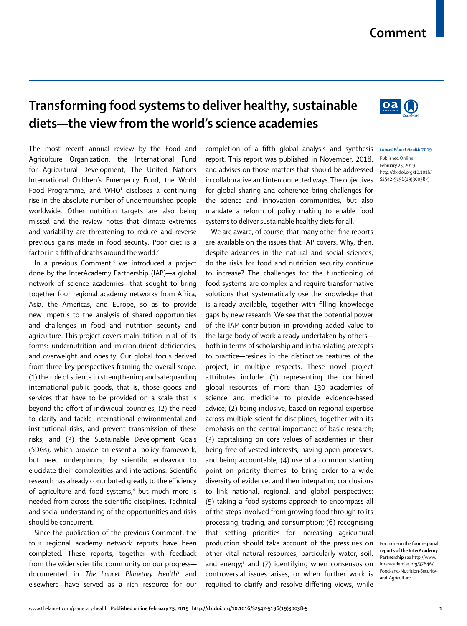# **Comment**

The most recent annual review by the Food and Agriculture Organization, the International Fund for Agricultural Development, The United Nations International Children's Emergency Fund, the World Food Programme, and WHO $1$  discloses a continuing rise in the absolute number of undernourished people worldwide. Other nutrition targets are also being missed and the review notes that climate extremes and variability are threatening to reduce and reverse previous gains made in food security. Poor diet is a factor in a fifth of deaths around the world.<sup>2</sup>

**Transforming food systems to deliver healthy, sustainable** 

**diets—the view from the world's science academies**

In a previous Comment,<sup>3</sup> we introduced a project done by the InterAcademy Partnership (IAP)—a global network of science academies—that sought to bring together four regional academy networks from Africa, Asia, the Americas, and Europe, so as to provide new impetus to the analysis of shared opportunities and challenges in food and nutrition security and agriculture. This project covers malnutrition in all of its forms: undernutrition and micronutrient deficiencies, and overweight and obesity. Our global focus derived from three key perspectives framing the overall scope: (1) the role of science in strengthening and safeguarding international public goods, that is, those goods and services that have to be provided on a scale that is beyond the effort of individual countries; (2) the need to clarify and tackle international environmental and institutional risks, and prevent transmission of these risks; and (3) the Sustainable Development Goals (SDGs), which provide an essential policy framework, but need underpinning by scientific endeavour to elucidate their complexities and interactions. Scientific research has already contributed greatly to the efficiency of agriculture and food systems,<sup>4</sup> but much more is needed from across the scientific disciplines. Technical and social understanding of the opportunities and risks should be concurrent.

Since the publication of the previous Comment, the four regional academy network reports have been completed. These reports, together with feedback from the wider scientific community on our progress documented in *The Lancet Planetary Health*<sup>3</sup> and elsewhere—have served as a rich resource for our

completion of a fifth global analysis and synthesis report. This report was published in November, 2018, and advises on those matters that should be addressed in collaborative and interconnected ways. The objectives for global sharing and coherence bring challenges for the science and innovation communities, but also mandate a reform of policy making to enable food systems to deliver sustainable healthy diets for all.

We are aware, of course, that many other fine reports are available on the issues that IAP covers. Why, then, despite advances in the natural and social sciences, do the risks for food and nutrition security continue to increase? The challenges for the functioning of food systems are complex and require transformative solutions that systematically use the knowledge that is already available, together with filling knowledge gaps by new research. We see that the potential power of the IAP contribution in providing added value to the large body of work already undertaken by others both in terms of scholarship and in translating precepts to practice—resides in the distinctive features of the project, in multiple respects. These novel project attributes include: (1) representing the combined global resources of more than 130 academies of science and medicine to provide evidence-based advice; (2) being inclusive, based on regional expertise across multiple scientific disciplines, together with its emphasis on the central importance of basic research; (3) capitalising on core values of academies in their being free of vested interests, having open processes, and being accountable; (4) use of a common starting point on priority themes, to bring order to a wide diversity of evidence, and then integrating conclusions to link national, regional, and global perspectives; (5) taking a food systems approach to encompass all of the steps involved from growing food through to its processing, trading, and consumption; (6) recognising that setting priorities for increasing agricultural production should take account of the pressures on other vital natural resources, particularly water, soil, and energy;<sup>5</sup> and (7) identifying when consensus on controversial issues arises, or when further work is required to clarify and resolve differing views, while



Published **Online** February 25, 2019 http://dx.doi.org/10.1016/ S2542-5196(19)30038-5



**reports of the InterAcademy Partnership** see http://www. interacademies.org/37646/ Food-and-Nutrition-Securityand-Agriculture

For more on the **four regional**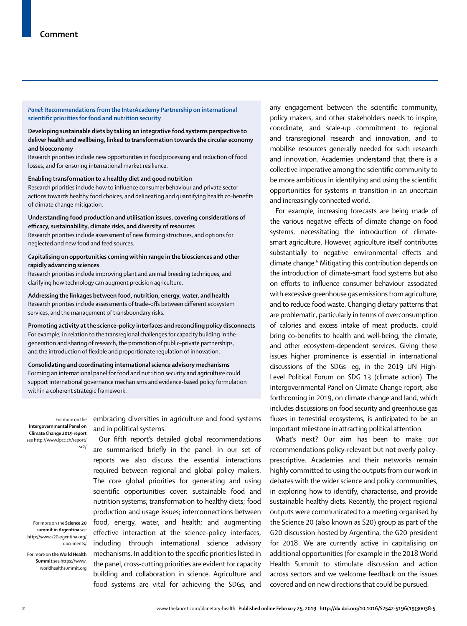*Panel***: Recommendations from the InterAcademy Partnership on international scientific priorities for food and nutrition security**

**Developing sustainable diets by taking an integrative food systems perspective to deliver health and wellbeing, linked to transformation towards the circular economy and bioeconomy**

Research priorities include new opportunities in food processing and reduction of food losses, and for ensuring international market resilience.

**Enabling transformation to a healthy diet and good nutrition**

Research priorities include how to influence consumer behaviour and private sector actions towards healthy food choices, and delineating and quantifying health co-benefits of climate change mitigation.

#### **Understanding food production and utilisation issues, covering considerations of efficacy, sustainability, climate risks, and diversity of resources**

Research priorities include assessment of new farming structures, and options for neglected and new food and feed sources.

#### **Capitalising on opportunities coming within range in the biosciences and other rapidly advancing sciences**

Research priorities include improving plant and animal breeding techniques, and clarifying how technology can augment precision agriculture.

**Addressing the linkages between food, nutrition, energy, water, and health** Research priorities include assessments of trade-offs between different ecosystem services, and the management of transboundary risks.

**Promoting activity at the science–policy interfaces and reconciling policy disconnects** For example, in relation to the transregional challenges for capacity building in the generation and sharing of research, the promotion of public–private partnerships, and the introduction of flexible and proportionate regulation of innovation.

**Consolidating and coordinating international science advisory mechanisms** Forming an international panel for food and nutrition security and agriculture could support international governance mechanisms and evidence-based policy formulation within a coherent strategic framework.

For more on the **Intergovernmental Panel on Climate Change 2019 report** see http://www.ipcc.ch/report/ sr2/

For more on the **Science 20 summit in Argentina** see http://www.s20argentina.org/ documents/

For more on **the World Health Summit** see https://www. worldhealthsummit.org embracing diversities in agriculture and food systems and in political systems.

Our fifth report's detailed global recommendations are summarised briefly in the panel: in our set of reports we also discuss the essential interactions required between regional and global policy makers. The core global priorities for generating and using scientific opportunities cover: sustainable food and nutrition systems; transformation to healthy diets; food production and usage issues; interconnections between food, energy, water, and health; and augmenting effective interaction at the science–policy interfaces, including through international science advisory mechanisms. In addition to the specific priorities listed in the panel, cross-cutting priorities are evident for capacity building and collaboration in science. Agriculture and food systems are vital for achieving the SDGs, and any engagement between the scientific community, policy makers, and other stakeholders needs to inspire, coordinate, and scale-up commitment to regional and transregional research and innovation, and to mobilise resources generally needed for such research and innovation. Academies understand that there is a collective imperative among the scientific community to be more ambitious in identifying and using the scientific opportunities for systems in transition in an uncertain and increasingly connected world.

For example, increasing forecasts are being made of the various negative effects of climate change on food systems, necessitating the introduction of climatesmart agriculture. However, agriculture itself contributes substantially to negative environmental effects and climate change.6 Mitigating this contribution depends on the introduction of climate-smart food systems but also on efforts to influence consumer behaviour associated with excessive greenhouse gas emissions from agriculture, and to reduce food waste. Changing dietary patterns that are problematic, particularly in terms of overconsumption of calories and excess intake of meat products, could bring co-benefits to health and well-being, the climate, and other ecosystem-dependent services. Giving these issues higher prominence is essential in international discussions of the SDGs—eg, in the 2019 UN High-Level Political Forum on SDG 13 (climate action). The Intergovernmental Panel on Climate Change report, also forthcoming in 2019, on climate change and land, which includes discussions on food security and greenhouse gas fluxes in terrestrial ecosystems, is anticipated to be an important milestone in attracting political attention.

What's next? Our aim has been to make our recommendations policy-relevant but not overly policyprescriptive. Academies and their networks remain highly committed to using the outputs from our work in debates with the wider science and policy communities, in exploring how to identify, characterise, and provide sustainable healthy diets. Recently, the project regional outputs were communicated to a meeting organised by the Science 20 (also known as S20) group as part of the G20 discussion hosted by Argentina, the G20 president for 2018. We are currently active in capitalising on additional opportunities (for example in the 2018 World Health Summit to stimulate discussion and action across sectors and we welcome feedback on the issues covered and on new directions that could be pursued.